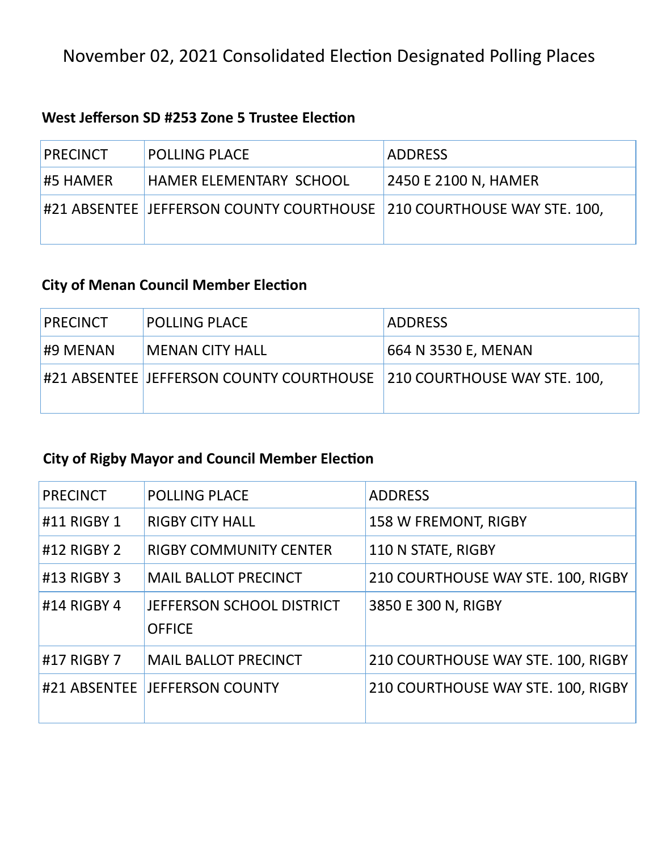## November 02, 2021 Consolidated Election Designated Polling Places

#### **West Jefferson SD #253 Zone 5 Trustee Election**

| <b>PRECINCT</b> | <b>POLLING PLACE</b>                                                    | <b>ADDRESS</b>       |
|-----------------|-------------------------------------------------------------------------|----------------------|
| <b>#5 HAMER</b> | <b>HAMER ELEMENTARY SCHOOL</b>                                          | 2450 E 2100 N, HAMER |
|                 | #21 ABSENTEE JEFFERSON COUNTY COURTHOUSE   210 COURTHOUSE WAY STE. 100, |                      |

### **City of Menan Council Member Election**

| <b>PRECINCT</b> | <b>POLLING PLACE</b>                                                    | <b>ADDRESS</b>      |
|-----------------|-------------------------------------------------------------------------|---------------------|
| #9 MENAN        | <b>MENAN CITY HALL</b>                                                  | 664 N 3530 E, MENAN |
|                 | #21 ABSENTEE  JEFFERSON COUNTY COURTHOUSE  210 COURTHOUSE WAY STE. 100, |                     |

## **City of Rigby Mayor and Council Member Election**

| <b>PRECINCT</b> | <b>POLLING PLACE</b>                       | <b>ADDRESS</b>                     |
|-----------------|--------------------------------------------|------------------------------------|
| #11 RIGBY 1     | <b>RIGBY CITY HALL</b>                     | <b>158 W FREMONT, RIGBY</b>        |
| #12 RIGBY 2     | <b>RIGBY COMMUNITY CENTER</b>              | 110 N STATE, RIGBY                 |
| #13 RIGBY 3     | <b>MAIL BALLOT PRECINCT</b>                | 210 COURTHOUSE WAY STE. 100, RIGBY |
| #14 RIGBY 4     | JEFFERSON SCHOOL DISTRICT<br><b>OFFICE</b> | 3850 E 300 N, RIGBY                |
| #17 RIGBY 7     | <b>MAIL BALLOT PRECINCT</b>                | 210 COURTHOUSE WAY STE. 100, RIGBY |
|                 | #21 ABSENTEE JEFFERSON COUNTY              | 210 COURTHOUSE WAY STE. 100, RIGBY |